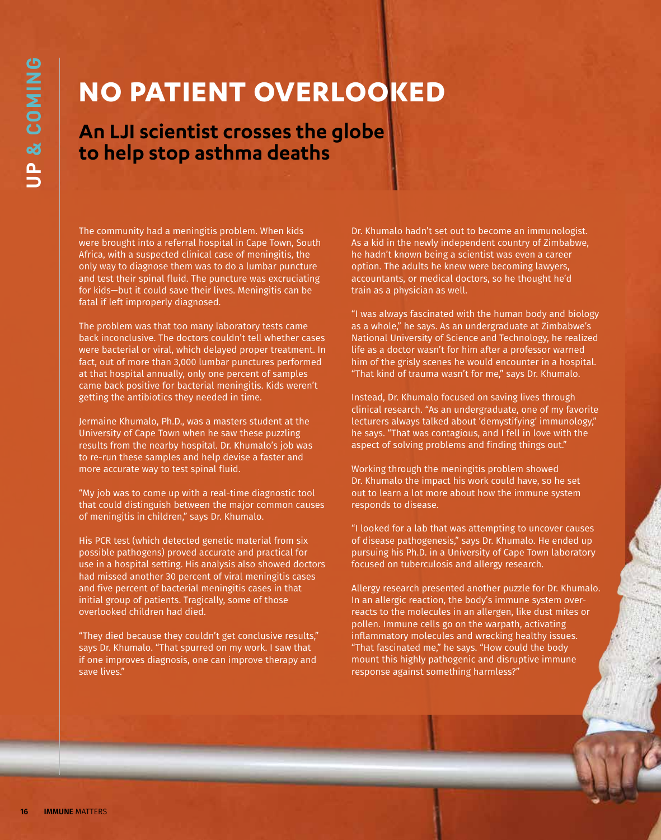## **NO PATIENT OVERLOOKED**

## **An LJI scientist crosses the globe to help stop asthma deaths**

The community had a meningitis problem. When kids were brought into a referral hospital in Cape Town, South Africa, with a suspected clinical case of meningitis, the only way to diagnose them was to do a lumbar puncture and test their spinal fluid. The puncture was excruciating for kids—but it could save their lives. Meningitis can be fatal if left improperly diagnosed.

The problem was that too many laboratory tests came back inconclusive. The doctors couldn't tell whether cases were bacterial or viral, which delayed proper treatment. In fact, out of more than 3,000 lumbar punctures performed at that hospital annually, only one percent of samples came back positive for bacterial meningitis. Kids weren't getting the antibiotics they needed in time.

Jermaine Khumalo, Ph.D., was a masters student at the University of Cape Town when he saw these puzzling results from the nearby hospital. Dr. Khumalo's job was to re-run these samples and help devise a faster and more accurate way to test spinal fluid.

"My job was to come up with a real-time diagnostic tool that could distinguish between the major common causes of meningitis in children," says Dr. Khumalo.

His PCR test (which detected genetic material from six possible pathogens) proved accurate and practical for use in a hospital setting. His analysis also showed doctors had missed another 30 percent of viral meningitis cases and five percent of bacterial meningitis cases in that initial group of patients. Tragically, some of those overlooked children had died.

"They died because they couldn't get conclusive results," says Dr. Khumalo. "That spurred on my work. I saw that if one improves diagnosis, one can improve therapy and save lives."

Dr. Khumalo hadn't set out to become an immunologist. As a kid in the newly independent country of Zimbabwe, he hadn't known being a scientist was even a career option. The adults he knew were becoming lawyers, accountants, or medical doctors, so he thought he'd train as a physician as well.

"I was always fascinated with the human body and biology as a whole," he says. As an undergraduate at Zimbabwe's National University of Science and Technology, he realized life as a doctor wasn't for him after a professor warned him of the grisly scenes he would encounter in a hospital. "That kind of trauma wasn't for me," says Dr. Khumalo.

Instead, Dr. Khumalo focused on saving lives through clinical research. "As an undergraduate, one of my favorite lecturers always talked about 'demystifying' immunology," he says. "That was contagious, and I fell in love with the aspect of solving problems and finding things out."

Working through the meningitis problem showed Dr. Khumalo the impact his work could have, so he set out to learn a lot more about how the immune system responds to disease.

"I looked for a lab that was attempting to uncover causes of disease pathogenesis," says Dr. Khumalo. He ended up pursuing his Ph.D. in a University of Cape Town laboratory focused on tuberculosis and allergy research.

Allergy research presented another puzzle for Dr. Khumalo. In an allergic reaction, the body's immune system overreacts to the molecules in an allergen, like dust mites or pollen. Immune cells go on the warpath, activating inflammatory molecules and wrecking healthy issues. "That fascinated me," he says. "How could the body mount this highly pathogenic and disruptive immune response against something harmless?"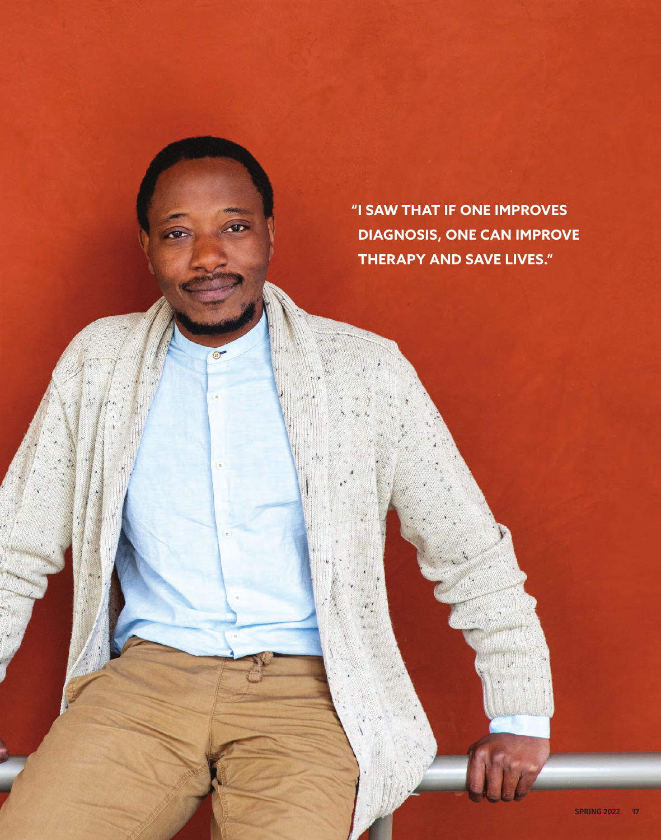**"I SAW THAT IF ONE IMPROVES DIAGNOSIS, ONE CAN IMPROVE THERAPY AND SAVE LIVES."**

 $\bullet$ 

 $\odot$